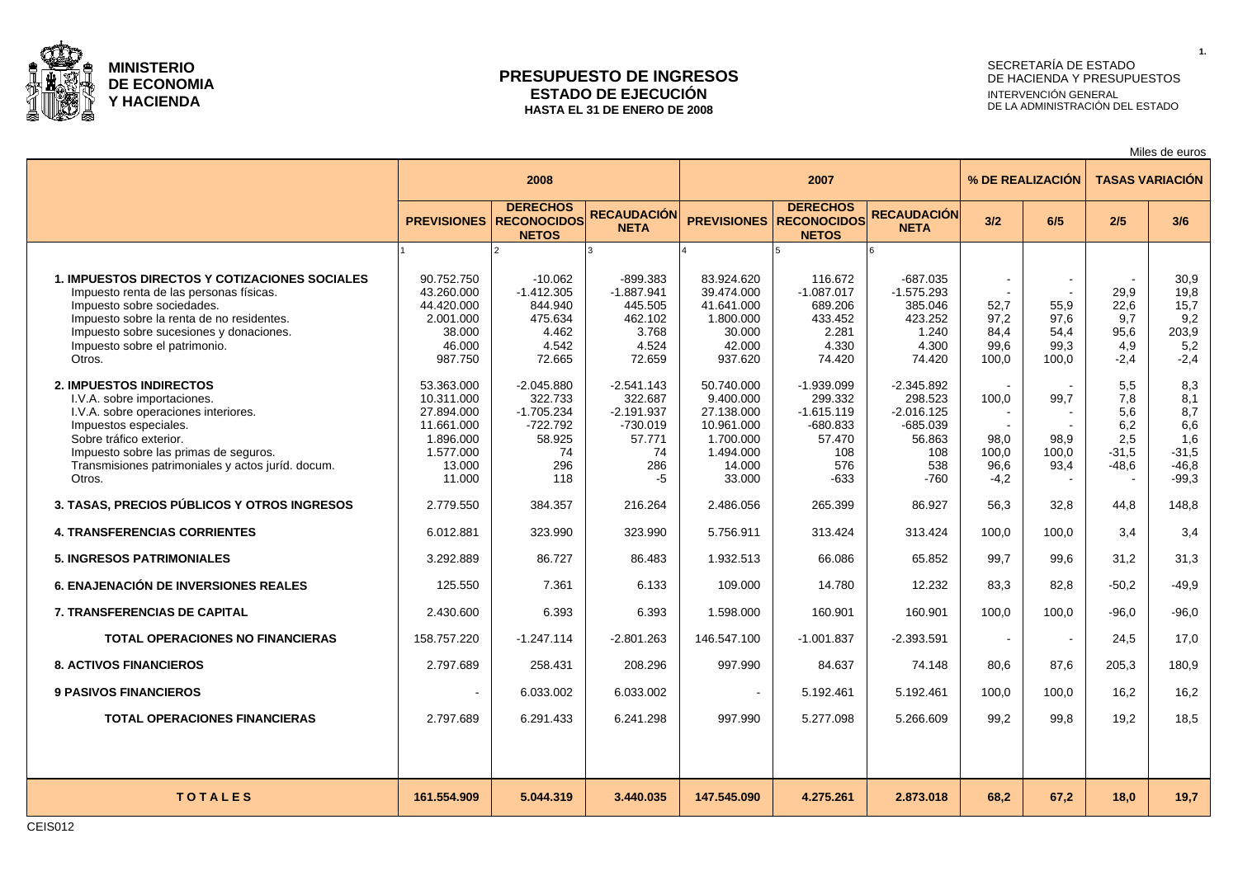

### **PRESUPUESTO DE INGRESOS ESTADO DE EJECUCIÓN HASTA EL 31 DE ENERO DE 2008**

# SECRETARÍA DE ESTADO DE HACIENDA Y PRESUPUESTOS INTERVENCIÓN GENERAL DE LA ADMINISTRACIÓN DEL ESTADO

Miles de euros

|                                                                                                                                                                                                                                                                   |                                                                                                    | 2008                                                                              |                                                                                    |                                                                                                   | 2007                                                                                    |                                                                                         |                                          | % DE REALIZACIÓN                      | <b>TASAS VARIACIÓN</b>                              |                                                                  |  |
|-------------------------------------------------------------------------------------------------------------------------------------------------------------------------------------------------------------------------------------------------------------------|----------------------------------------------------------------------------------------------------|-----------------------------------------------------------------------------------|------------------------------------------------------------------------------------|---------------------------------------------------------------------------------------------------|-----------------------------------------------------------------------------------------|-----------------------------------------------------------------------------------------|------------------------------------------|---------------------------------------|-----------------------------------------------------|------------------------------------------------------------------|--|
|                                                                                                                                                                                                                                                                   | <b>PREVISIONES</b>                                                                                 | <b>DERECHOS</b><br><b>RECONOCIDOS</b><br><b>NETOS</b>                             | <b>RECAUDACIÓN</b><br><b>NETA</b>                                                  | <b>PREVISIONES</b>                                                                                | <b>DERECHOS</b><br><b>RECONOCIDOS</b><br><b>NETOS</b>                                   | <b>RECAUDACIÓN</b><br><b>NETA</b>                                                       | 3/2                                      | 6/5                                   | 2/5                                                 | 3/6                                                              |  |
|                                                                                                                                                                                                                                                                   |                                                                                                    |                                                                                   |                                                                                    |                                                                                                   |                                                                                         |                                                                                         |                                          |                                       |                                                     |                                                                  |  |
| <b>1. IMPUESTOS DIRECTOS Y COTIZACIONES SOCIALES</b><br>Impuesto renta de las personas físicas.<br>Impuesto sobre sociedades.<br>Impuesto sobre la renta de no residentes.<br>Impuesto sobre sucesiones y donaciones.<br>Impuesto sobre el patrimonio.<br>Otros.  | 90.752.750<br>43.260.000<br>44.420.000<br>2.001.000<br>38.000<br>46.000<br>987.750                 | $-10.062$<br>$-1.412.305$<br>844.940<br>475.634<br>4.462<br>4.542<br>72.665       | $-899.383$<br>$-1.887.941$<br>445.505<br>462.102<br>3.768<br>4.524<br>72.659       | 83.924.620<br>39.474.000<br>41.641.000<br>1.800.000<br>30.000<br>42.000<br>937.620                | 116.672<br>$-1.087.017$<br>689.206<br>433.452<br>2.281<br>4.330<br>74.420               | $-687.035$<br>$-1.575.293$<br>385.046<br>423.252<br>1.240<br>4.300<br>74.420            | 52,7<br>97,2<br>84,4<br>99,6<br>100,0    | 55,9<br>97,6<br>54,4<br>99,3<br>100.0 | 29,9<br>22,6<br>9.7<br>95.6<br>4.9<br>$-2.4$        | 30,9<br>19,8<br>15,7<br>9,2<br>203,9<br>5,2<br>$-2,4$            |  |
| <b>2. IMPUESTOS INDIRECTOS</b><br>I.V.A. sobre importaciones.<br>I.V.A. sobre operaciones interiores.<br>Impuestos especiales.<br>Sobre tráfico exterior.<br>Impuesto sobre las primas de seguros.<br>Transmisiones patrimoniales y actos juríd. docum.<br>Otros. | 53.363.000<br>10.311.000<br>27.894.000<br>11.661.000<br>1.896.000<br>1.577.000<br>13.000<br>11.000 | $-2.045.880$<br>322.733<br>$-1.705.234$<br>-722.792<br>58.925<br>74<br>296<br>118 | $-2.541.143$<br>322.687<br>$-2.191.937$<br>$-730.019$<br>57.771<br>74<br>286<br>-5 | 50.740.000<br>9.400.000<br>27.138.000<br>10.961.000<br>1.700.000<br>1.494.000<br>14.000<br>33.000 | $-1.939.099$<br>299.332<br>$-1.615.119$<br>$-680.833$<br>57.470<br>108<br>576<br>$-633$ | $-2.345.892$<br>298.523<br>$-2.016.125$<br>$-685.039$<br>56.863<br>108<br>538<br>$-760$ | 100.0<br>98.0<br>100,0<br>96,6<br>$-4,2$ | 99,7<br>98.9<br>100,0<br>93,4         | 5.5<br>7.8<br>5,6<br>6,2<br>2.5<br>$-31,5$<br>-48.6 | 8,3<br>8,1<br>8,7<br>6,6<br>1,6<br>$-31,5$<br>$-46,8$<br>$-99,3$ |  |
| 3. TASAS, PRECIOS PÚBLICOS Y OTROS INGRESOS                                                                                                                                                                                                                       | 2.779.550                                                                                          | 384.357                                                                           | 216.264                                                                            | 2.486.056                                                                                         | 265.399                                                                                 | 86.927                                                                                  | 56,3                                     | 32,8                                  | 44,8                                                | 148,8                                                            |  |
| <b>4. TRANSFERENCIAS CORRIENTES</b>                                                                                                                                                                                                                               | 6.012.881                                                                                          | 323.990                                                                           | 323.990                                                                            | 5.756.911                                                                                         | 313.424                                                                                 | 313.424                                                                                 | 100.0                                    | 100.0                                 | 3.4                                                 | 3,4                                                              |  |
| <b>5. INGRESOS PATRIMONIALES</b>                                                                                                                                                                                                                                  | 3.292.889                                                                                          | 86.727                                                                            | 86.483                                                                             | 1.932.513                                                                                         | 66.086                                                                                  | 65.852                                                                                  | 99.7                                     | 99,6                                  | 31.2                                                | 31,3                                                             |  |
| <b>6. ENAJENACIÓN DE INVERSIONES REALES</b>                                                                                                                                                                                                                       | 125.550                                                                                            | 7.361                                                                             | 6.133                                                                              | 109.000                                                                                           | 14.780                                                                                  | 12.232                                                                                  | 83,3                                     | 82,8                                  | $-50.2$                                             | $-49,9$                                                          |  |
| <b>7. TRANSFERENCIAS DE CAPITAL</b>                                                                                                                                                                                                                               | 2.430.600                                                                                          | 6.393                                                                             | 6.393                                                                              | 1.598.000                                                                                         | 160.901                                                                                 | 160.901                                                                                 | 100.0                                    | 100.0                                 | $-96.0$                                             | $-96.0$                                                          |  |
| <b>TOTAL OPERACIONES NO FINANCIERAS</b>                                                                                                                                                                                                                           | 158.757.220                                                                                        | $-1.247.114$                                                                      | $-2.801.263$                                                                       | 146.547.100                                                                                       | $-1.001.837$                                                                            | $-2.393.591$                                                                            | $\sim$                                   | $\sim$                                | 24.5                                                | 17,0                                                             |  |
| <b>8. ACTIVOS FINANCIEROS</b>                                                                                                                                                                                                                                     | 2.797.689                                                                                          | 258.431                                                                           | 208.296                                                                            | 997.990                                                                                           | 84.637                                                                                  | 74.148                                                                                  | 80.6                                     | 87.6                                  | 205.3                                               | 180.9                                                            |  |
| <b>9 PASIVOS FINANCIEROS</b>                                                                                                                                                                                                                                      | $\sim$                                                                                             | 6.033.002                                                                         | 6.033.002                                                                          |                                                                                                   | 5.192.461                                                                               | 5.192.461                                                                               | 100.0                                    | 100.0                                 | 16.2                                                | 16,2                                                             |  |
| <b>TOTAL OPERACIONES FINANCIERAS</b>                                                                                                                                                                                                                              | 2.797.689                                                                                          | 6.291.433                                                                         | 6.241.298                                                                          | 997.990                                                                                           | 5.277.098                                                                               | 5.266.609                                                                               | 99.2                                     | 99.8                                  | 19.2                                                | 18.5                                                             |  |
|                                                                                                                                                                                                                                                                   |                                                                                                    |                                                                                   |                                                                                    |                                                                                                   |                                                                                         |                                                                                         |                                          |                                       |                                                     |                                                                  |  |
| <b>TOTALES</b>                                                                                                                                                                                                                                                    | 161.554.909                                                                                        | 5.044.319                                                                         | 3.440.035                                                                          | 147.545.090                                                                                       | 4.275.261                                                                               | 2.873.018                                                                               | 68.2                                     | 67.2                                  | 18.0                                                | 19.7                                                             |  |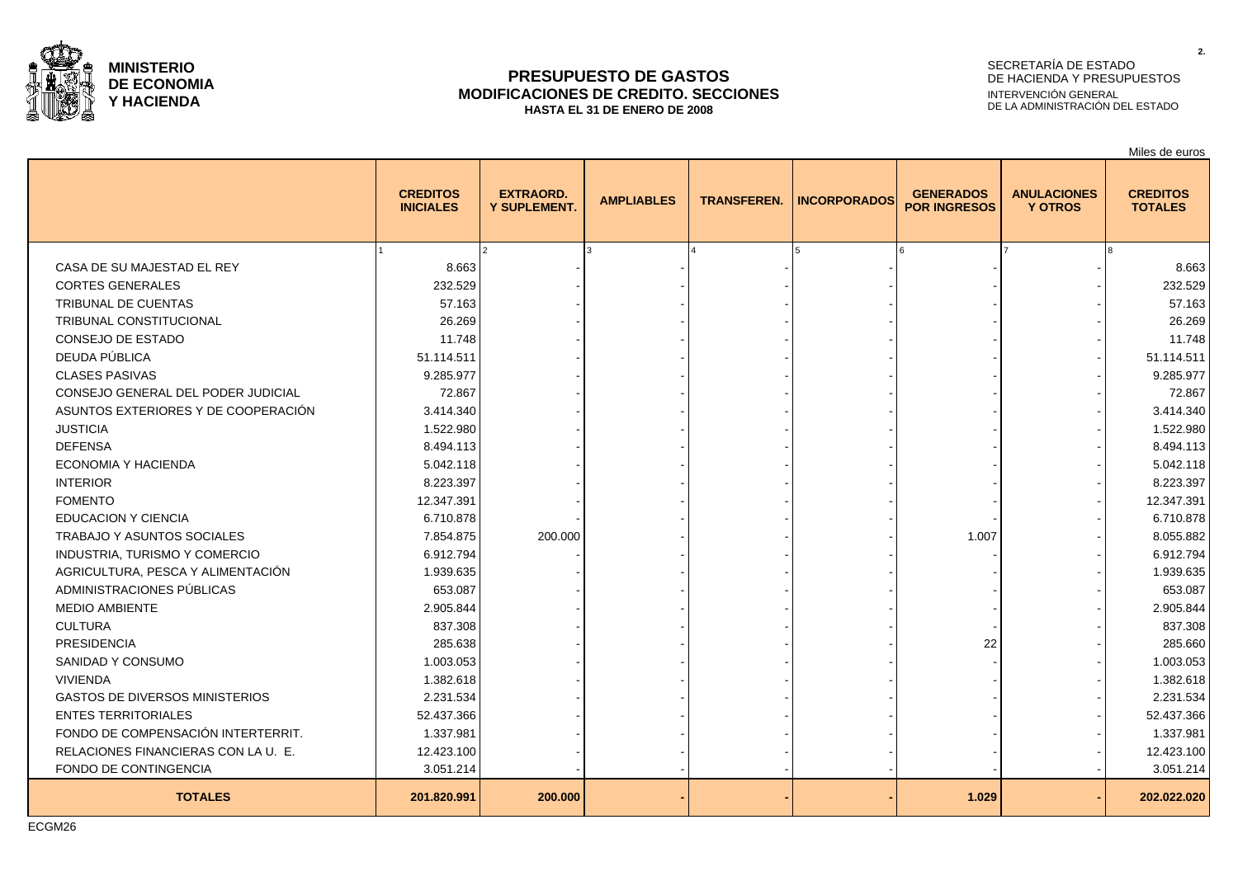

### **PRESUPUESTO DE GASTOS MODIFICACIONES DE CREDITO. SECCIONES HASTA EL 31 DE ENERO DE 2008**

# SECRETARÍA DE ESTADO DE HACIENDA Y PRESUPUESTOS INTERVENCIÓN GENERAL DE LA ADMINISTRACIÓN DEL ESTADO

Miles de euros

|                                       | <b>CREDITOS</b><br><b>INICIALES</b> | <b>EXTRAORD.</b><br><b>Y SUPLEMENT.</b> | <b>AMPLIABLES</b> | <b>TRANSFEREN.</b> | <b>INCORPORADOS</b> | <b>GENERADOS</b><br><b>POR INGRESOS</b> | <b>ANULACIONES</b><br><b>Y OTROS</b> | <b>CREDITOS</b><br><b>TOTALES</b> |
|---------------------------------------|-------------------------------------|-----------------------------------------|-------------------|--------------------|---------------------|-----------------------------------------|--------------------------------------|-----------------------------------|
|                                       |                                     |                                         |                   |                    |                     |                                         |                                      |                                   |
| CASA DE SU MAJESTAD EL REY            | 8.663                               |                                         |                   |                    |                     |                                         |                                      | 8.663                             |
| <b>CORTES GENERALES</b>               | 232.529                             |                                         |                   |                    |                     |                                         |                                      | 232.529                           |
| <b>TRIBUNAL DE CUENTAS</b>            | 57.163                              |                                         |                   |                    |                     |                                         |                                      | 57.163                            |
| <b>TRIBUNAL CONSTITUCIONAL</b>        | 26.269                              |                                         |                   |                    |                     |                                         |                                      | 26.269                            |
| CONSEJO DE ESTADO                     | 11.748                              |                                         |                   |                    |                     |                                         |                                      | 11.748                            |
| DEUDA PÚBLICA                         | 51.114.511                          |                                         |                   |                    |                     |                                         |                                      | 51.114.511                        |
| <b>CLASES PASIVAS</b>                 | 9.285.977                           |                                         |                   |                    |                     |                                         |                                      | 9.285.977                         |
| CONSEJO GENERAL DEL PODER JUDICIAL    | 72.867                              |                                         |                   |                    |                     |                                         |                                      | 72.867                            |
| ASUNTOS EXTERIORES Y DE COOPERACIÓN   | 3.414.340                           |                                         |                   |                    |                     |                                         |                                      | 3.414.340                         |
| <b>JUSTICIA</b>                       | 1.522.980                           |                                         |                   |                    |                     |                                         |                                      | 1.522.980                         |
| <b>DEFENSA</b>                        | 8.494.113                           |                                         |                   |                    |                     |                                         |                                      | 8.494.113                         |
| <b>ECONOMIA Y HACIENDA</b>            | 5.042.118                           |                                         |                   |                    |                     |                                         |                                      | 5.042.118                         |
| <b>INTERIOR</b>                       | 8.223.397                           |                                         |                   |                    |                     |                                         |                                      | 8.223.397                         |
| <b>FOMENTO</b>                        | 12.347.391                          |                                         |                   |                    |                     |                                         |                                      | 12.347.391                        |
| <b>EDUCACION Y CIENCIA</b>            | 6.710.878                           |                                         |                   |                    |                     |                                         |                                      | 6.710.878                         |
| TRABAJO Y ASUNTOS SOCIALES            | 7.854.875                           | 200.000                                 |                   |                    |                     | 1.007                                   |                                      | 8.055.882                         |
| INDUSTRIA, TURISMO Y COMERCIO         | 6.912.794                           |                                         |                   |                    |                     |                                         |                                      | 6.912.794                         |
| AGRICULTURA, PESCA Y ALIMENTACIÓN     | 1.939.635                           |                                         |                   |                    |                     |                                         |                                      | 1.939.635                         |
| ADMINISTRACIONES PÚBLICAS             | 653.087                             |                                         |                   |                    |                     |                                         |                                      | 653.087                           |
| <b>MEDIO AMBIENTE</b>                 | 2.905.844                           |                                         |                   |                    |                     |                                         |                                      | 2.905.844                         |
| <b>CULTURA</b>                        | 837.308                             |                                         |                   |                    |                     |                                         |                                      | 837.308                           |
| <b>PRESIDENCIA</b>                    | 285.638                             |                                         |                   |                    |                     | 22                                      |                                      | 285.660                           |
| SANIDAD Y CONSUMO                     | 1.003.053                           |                                         |                   |                    |                     |                                         |                                      | 1.003.053                         |
| <b>VIVIENDA</b>                       | 1.382.618                           |                                         |                   |                    |                     |                                         |                                      | 1.382.618                         |
| <b>GASTOS DE DIVERSOS MINISTERIOS</b> | 2.231.534                           |                                         |                   |                    |                     |                                         |                                      | 2.231.534                         |
| <b>ENTES TERRITORIALES</b>            | 52.437.366                          |                                         |                   |                    |                     |                                         |                                      | 52.437.366                        |
| FONDO DE COMPENSACIÓN INTERTERRIT.    | 1.337.981                           |                                         |                   |                    |                     |                                         |                                      | 1.337.981                         |
| RELACIONES FINANCIERAS CON LA U. E.   | 12.423.100                          |                                         |                   |                    |                     |                                         |                                      | 12.423.100                        |
| FONDO DE CONTINGENCIA                 | 3.051.214                           |                                         |                   |                    |                     |                                         |                                      | 3.051.214                         |
| <b>TOTALES</b>                        | 201.820.991                         | 200.000                                 |                   |                    |                     | 1.029                                   |                                      | 202.022.020                       |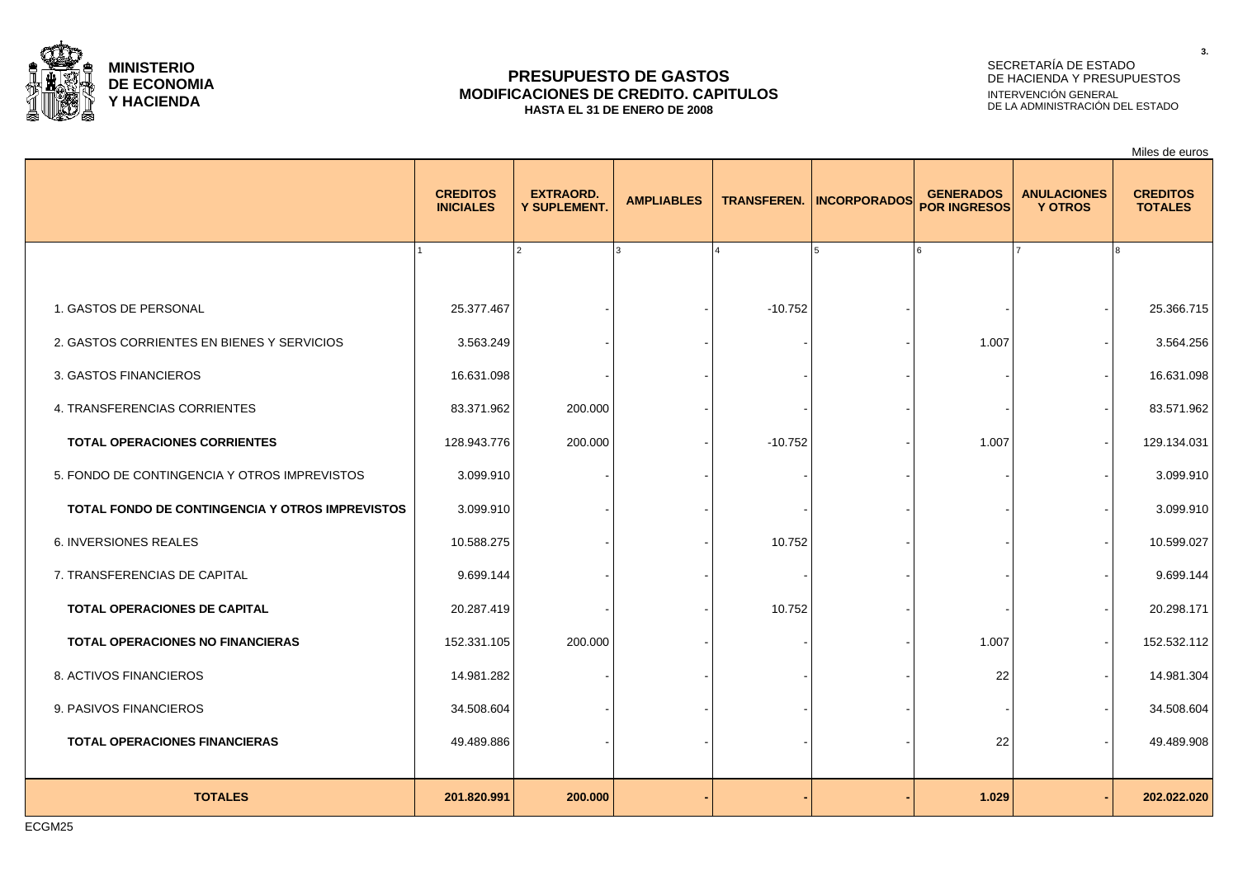

### **PRESUPUESTO DE GASTOS MODIFICACIONES DE CREDITO. CAPITULOS HASTA EL 31 DE ENERO DE 2008**

# SECRETARÍA DE ESTADO DE HACIENDA Y PRESUPUESTOS INTERVENCIÓN GENERAL DE LA ADMINISTRACIÓN DEL ESTADO

|                                                 |                                     |                                  |                   |           |                                 |                                         |                                      | Miles de euros                    |
|-------------------------------------------------|-------------------------------------|----------------------------------|-------------------|-----------|---------------------------------|-----------------------------------------|--------------------------------------|-----------------------------------|
|                                                 | <b>CREDITOS</b><br><b>INICIALES</b> | <b>EXTRAORD.</b><br>Y SUPLEMENT. | <b>AMPLIABLES</b> |           | <b>TRANSFEREN. INCORPORADOS</b> | <b>GENERADOS</b><br><b>POR INGRESOS</b> | <b>ANULACIONES</b><br><b>Y OTROS</b> | <b>CREDITOS</b><br><b>TOTALES</b> |
|                                                 |                                     |                                  |                   |           |                                 |                                         |                                      |                                   |
| 1. GASTOS DE PERSONAL                           | 25.377.467                          |                                  |                   | $-10.752$ |                                 |                                         |                                      | 25.366.715                        |
| 2. GASTOS CORRIENTES EN BIENES Y SERVICIOS      | 3.563.249                           |                                  |                   |           |                                 | 1.007                                   |                                      | 3.564.256                         |
| 3. GASTOS FINANCIEROS                           | 16.631.098                          |                                  |                   |           |                                 |                                         |                                      | 16.631.098                        |
| 4. TRANSFERENCIAS CORRIENTES                    | 83.371.962                          | 200.000                          |                   |           |                                 |                                         |                                      | 83.571.962                        |
| <b>TOTAL OPERACIONES CORRIENTES</b>             | 128.943.776                         | 200.000                          |                   | $-10.752$ |                                 | 1.007                                   |                                      | 129.134.031                       |
| 5. FONDO DE CONTINGENCIA Y OTROS IMPREVISTOS    | 3.099.910                           |                                  |                   |           |                                 |                                         |                                      | 3.099.910                         |
| TOTAL FONDO DE CONTINGENCIA Y OTROS IMPREVISTOS | 3.099.910                           |                                  |                   |           |                                 |                                         |                                      | 3.099.910                         |
| 6. INVERSIONES REALES                           | 10.588.275                          |                                  |                   | 10.752    |                                 |                                         |                                      | 10.599.027                        |
| 7. TRANSFERENCIAS DE CAPITAL                    | 9.699.144                           |                                  |                   |           |                                 |                                         |                                      | 9.699.144                         |
| TOTAL OPERACIONES DE CAPITAL                    | 20.287.419                          |                                  |                   | 10.752    |                                 |                                         |                                      | 20.298.171                        |
| TOTAL OPERACIONES NO FINANCIERAS                | 152.331.105                         | 200.000                          |                   |           |                                 | 1.007                                   |                                      | 152.532.112                       |
| 8. ACTIVOS FINANCIEROS                          | 14.981.282                          |                                  |                   |           |                                 | 22                                      |                                      | 14.981.304                        |
| 9. PASIVOS FINANCIEROS                          | 34.508.604                          |                                  |                   |           |                                 |                                         |                                      | 34.508.604                        |
| <b>TOTAL OPERACIONES FINANCIERAS</b>            | 49.489.886                          |                                  |                   |           |                                 | 22                                      |                                      | 49.489.908                        |
|                                                 |                                     |                                  |                   |           |                                 |                                         |                                      |                                   |
| <b>TOTALES</b>                                  | 201.820.991                         | 200.000                          |                   |           |                                 | 1.029                                   |                                      | 202.022.020                       |

ECGM25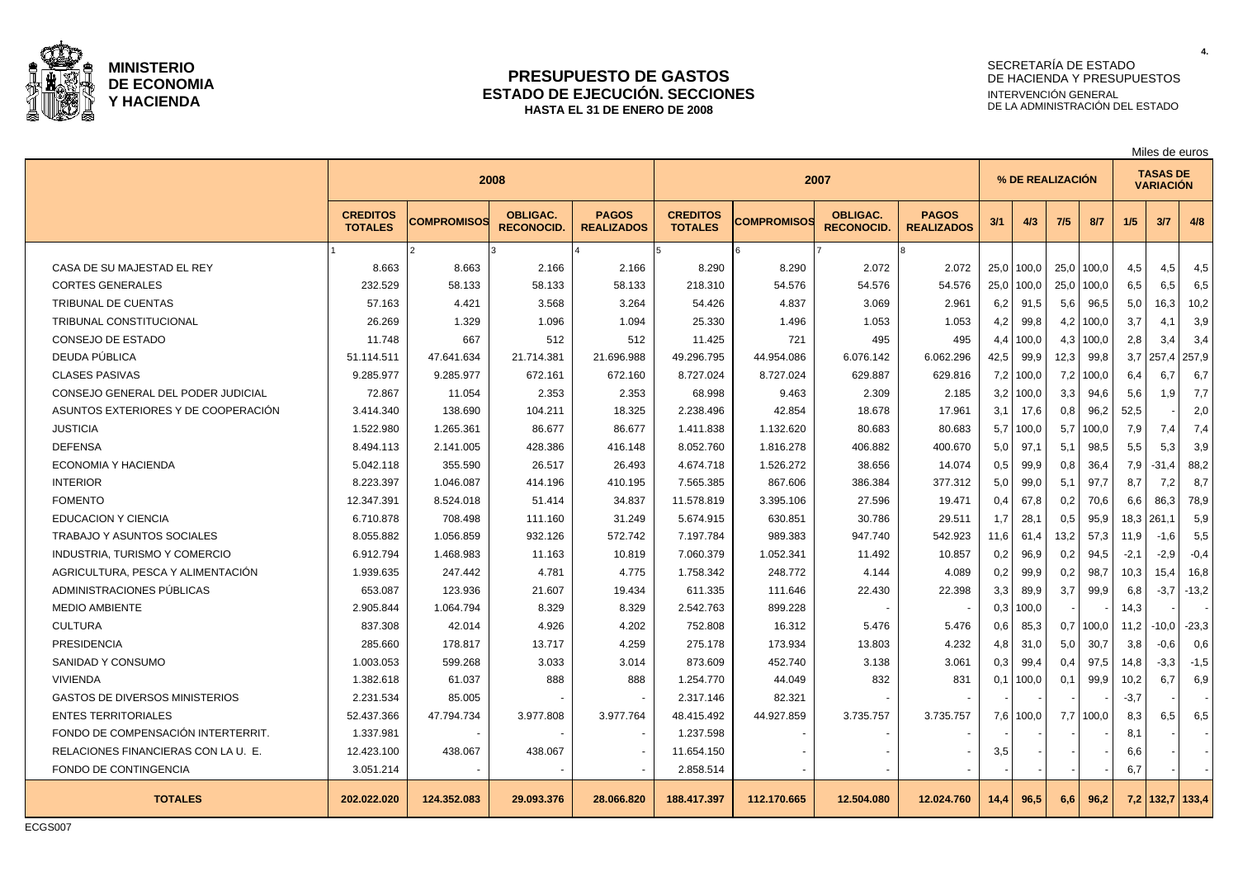

### **PRESUPUESTO DE GASTOS ESTADO DE EJECUCIÓN. SECCIONES HASTA EL 31 DE ENERO DE 2008**

# SECRETARÍA DE ESTADO DE HACIENDA Y PRESUPUESTOS INTERVENCIÓN GENERAL DE LA ADMINISTRACIÓN DEL ESTADO

|                                       |                                   |             | 2008                                 |                                   | 2007                              |                    |                                     |                                   | % DE REALIZACION |       |      |       |        | <b>TASAS DE</b><br><b>VARIACIÓN</b> |                 |
|---------------------------------------|-----------------------------------|-------------|--------------------------------------|-----------------------------------|-----------------------------------|--------------------|-------------------------------------|-----------------------------------|------------------|-------|------|-------|--------|-------------------------------------|-----------------|
|                                       | <b>CREDITOS</b><br><b>TOTALES</b> | COMPROMISOS | <b>OBLIGAC.</b><br><b>RECONOCID.</b> | <b>PAGOS</b><br><b>REALIZADOS</b> | <b>CREDITOS</b><br><b>TOTALES</b> | <b>COMPROMISOS</b> | <b>OBLIGAC.</b><br><b>RECONOCID</b> | <b>PAGOS</b><br><b>REALIZADOS</b> | 3/1              | 4/3   | 7/5  | 8/7   | 1/5    | 3/7                                 | 4/8             |
|                                       |                                   |             | $\mathbf{z}$                         |                                   | Iҕ                                | ١ĥ                 |                                     | I۶                                |                  |       |      |       |        |                                     |                 |
| CASA DE SU MAJESTAD EL REY            | 8.663                             | 8.663       | 2.166                                | 2.166                             | 8.290                             | 8.290              | 2.072                               | 2.072                             | 25,0             | 100,0 | 25,0 | 100,0 | 4,5    | 4,5                                 | 4,5             |
| <b>CORTES GENERALES</b>               | 232.529                           | 58.133      | 58.133                               | 58.133                            | 218.310                           | 54.576             | 54.576                              | 54.576                            | 25,0             | 100,0 | 25,0 | 100,0 | 6,5    | 6,5                                 | 6,5             |
| <b>TRIBUNAL DE CUENTAS</b>            | 57.163                            | 4.421       | 3.568                                | 3.264                             | 54.426                            | 4.837              | 3.069                               | 2.961                             | 6,2              | 91,5  | 5,6  | 96,5  | 5,0    | 16,3                                | 10,2            |
| <b>TRIBUNAL CONSTITUCIONAL</b>        | 26.269                            | 1.329       | 1.096                                | 1.094                             | 25.330                            | 1.496              | 1.053                               | 1.053                             | 4,2              | 99,8  | 4,2  | 100,0 | 3,7    | 4,1                                 | 3,9             |
| <b>CONSEJO DE ESTADO</b>              | 11.748                            | 667         | 512                                  | 512                               | 11.425                            | 721                | 495                                 | 495                               | 4,4              | 100,0 | 4,3  | 100,0 | 2,8    | 3,4                                 | 3,4             |
| DEUDA PÚBLICA                         | 51.114.511                        | 47.641.634  | 21.714.381                           | 21.696.988                        | 49.296.795                        | 44.954.086         | 6.076.142                           | 6.062.296                         | 42,5             | 99,9  | 12,3 | 99,8  | 3,7    | 257,4                               | 257,9           |
| <b>CLASES PASIVAS</b>                 | 9.285.977                         | 9.285.977   | 672.161                              | 672.160                           | 8.727.024                         | 8.727.024          | 629.887                             | 629.816                           | 7,2              | 100,0 | 7,2  | 100,0 | 6,4    | 6,7                                 | 6,7             |
| CONSEJO GENERAL DEL PODER JUDICIAL    | 72.867                            | 11.054      | 2.353                                | 2.353                             | 68.998                            | 9.463              | 2.309                               | 2.185                             | 3,2              | 100,0 | 3,3  | 94,6  | 5,6    | 1,9                                 | 7,7             |
| ASUNTOS EXTERIORES Y DE COOPERACIÓN   | 3.414.340                         | 138.690     | 104.211                              | 18.325                            | 2.238.496                         | 42.854             | 18.678                              | 17.961                            | 3,1              | 17,6  | 0,8  | 96,2  | 52,5   |                                     | 2,0             |
| <b>JUSTICIA</b>                       | 1.522.980                         | 1.265.361   | 86.677                               | 86.677                            | 1.411.838                         | 1.132.620          | 80.683                              | 80.683                            | 5,7              | 100,0 | 5,7  | 100,0 | 7,9    | 7,4                                 | 7,4             |
| <b>DEFENSA</b>                        | 8.494.113                         | 2.141.005   | 428.386                              | 416.148                           | 8.052.760                         | 1.816.278          | 406.882                             | 400.670                           | 5,0              | 97,1  | 5,1  | 98,5  | 5,5    | 5,3                                 | 3,9             |
| <b>ECONOMIA Y HACIENDA</b>            | 5.042.118                         | 355.590     | 26.517                               | 26.493                            | 4.674.718                         | 1.526.272          | 38.656                              | 14.074                            | 0,5              | 99,9  | 0,8  | 36,4  | 7,9    | $-31,4$                             | 88,2            |
| <b>INTERIOR</b>                       | 8.223.397                         | 1.046.087   | 414.196                              | 410.195                           | 7.565.385                         | 867.606            | 386.384                             | 377.312                           | 5,0              | 99,0  | 5,1  | 97.7  | 8,7    | 7,2                                 | 8,7             |
| <b>FOMENTO</b>                        | 12.347.391                        | 8.524.018   | 51.414                               | 34.837                            | 11.578.819                        | 3.395.106          | 27.596                              | 19.471                            | 0,4              | 67,8  | 0,2  | 70,6  | 6,6    | 86,3                                | 78,9            |
| <b>EDUCACION Y CIENCIA</b>            | 6.710.878                         | 708.498     | 111.160                              | 31.249                            | 5.674.915                         | 630.851            | 30.786                              | 29.511                            | 1,7              | 28,1  | 0,5  | 95,9  | 18,3   | 261,1                               | 5,9             |
| <b>TRABAJO Y ASUNTOS SOCIALES</b>     | 8.055.882                         | 1.056.859   | 932.126                              | 572.742                           | 7.197.784                         | 989.383            | 947.740                             | 542.923                           | 11,6             | 61,4  | 13,2 | 57,3  | 11,9   | $-1,6$                              | 5,5             |
| INDUSTRIA, TURISMO Y COMERCIO         | 6.912.794                         | 1.468.983   | 11.163                               | 10.819                            | 7.060.379                         | 1.052.341          | 11.492                              | 10.857                            | 0,2              | 96,9  | 0,2  | 94,5  | $-2,1$ | $-2,9$                              | $-0,4$          |
| AGRICULTURA. PESCA Y ALIMENTACIÓN     | 1.939.635                         | 247.442     | 4.781                                | 4.775                             | 1.758.342                         | 248.772            | 4.144                               | 4.089                             | 0,2              | 99,9  | 0,2  | 98.7  | 10,3   | 15,4                                | 16,8            |
| ADMINISTRACIONES PÚBLICAS             | 653.087                           | 123.936     | 21.607                               | 19.434                            | 611.335                           | 111.646            | 22.430                              | 22.398                            | 3,3              | 89,9  | 3,7  | 99.9  | 6,8    | $-3.7$                              | $-13,2$         |
| <b>MEDIO AMBIENTE</b>                 | 2.905.844                         | 1.064.794   | 8.329                                | 8.329                             | 2.542.763                         | 899.228            |                                     |                                   | 0,3              | 100,0 |      |       | 14,3   |                                     |                 |
| <b>CULTURA</b>                        | 837.308                           | 42.014      | 4.926                                | 4.202                             | 752.808                           | 16.312             | 5.476                               | 5.476                             | 0,6              | 85,3  | 0,7  | 100,0 | 11,2   | $-10,0$                             | $-23,3$         |
| <b>PRESIDENCIA</b>                    | 285.660                           | 178.817     | 13.717                               | 4.259                             | 275.178                           | 173.934            | 13.803                              | 4.232                             | 4,8              | 31,0  | 5,0  | 30,7  | 3,8    | $-0,6$                              | 0,6             |
| SANIDAD Y CONSUMO                     | 1.003.053                         | 599.268     | 3.033                                | 3.014                             | 873.609                           | 452.740            | 3.138                               | 3.061                             | 0,3              | 99,4  | 0,4  | 97,5  | 14,8   | $-3,3$                              | $-1,5$          |
| <b>VIVIENDA</b>                       | 1.382.618                         | 61.037      | 888                                  | 888                               | 1.254.770                         | 44.049             | 832                                 | 831                               | 0,1              | 100,0 | 0,1  | 99,9  | 10,2   | 6,7                                 | 6,9             |
| <b>GASTOS DE DIVERSOS MINISTERIOS</b> | 2.231.534                         | 85.005      |                                      |                                   | 2.317.146                         | 82.321             |                                     |                                   |                  |       |      |       | $-3,7$ |                                     |                 |
| <b>ENTES TERRITORIALES</b>            | 52.437.366                        | 47.794.734  | 3.977.808                            | 3.977.764                         | 48.415.492                        | 44.927.859         | 3.735.757                           | 3.735.757                         | 7,6              | 100,0 | 7,7  | 100,0 | 8,3    | 6,5                                 | 6,5             |
| FONDO DE COMPENSACIÓN INTERTERRIT.    | 1.337.981                         |             |                                      |                                   | 1.237.598                         |                    |                                     |                                   |                  |       |      |       | 8,1    |                                     |                 |
| RELACIONES FINANCIERAS CON LA U. E.   | 12.423.100                        | 438.067     | 438.067                              |                                   | 11.654.150                        |                    |                                     |                                   | 3,5              |       |      |       | 6,6    |                                     |                 |
| <b>FONDO DE CONTINGENCIA</b>          | 3.051.214                         |             |                                      |                                   | 2.858.514                         |                    |                                     |                                   |                  |       |      |       | 6,7    |                                     |                 |
| <b>TOTALES</b>                        | 202.022.020                       | 124.352.083 | 29.093.376                           | 28.066.820                        | 188.417.397                       | 112.170.665        | 12,504.080                          | 12.024.760                        | 14,4             | 96.5  | 6.6  | 96.2  |        |                                     | 7,2 132,7 133,4 |

ECGS007

**4.**

Miles de euros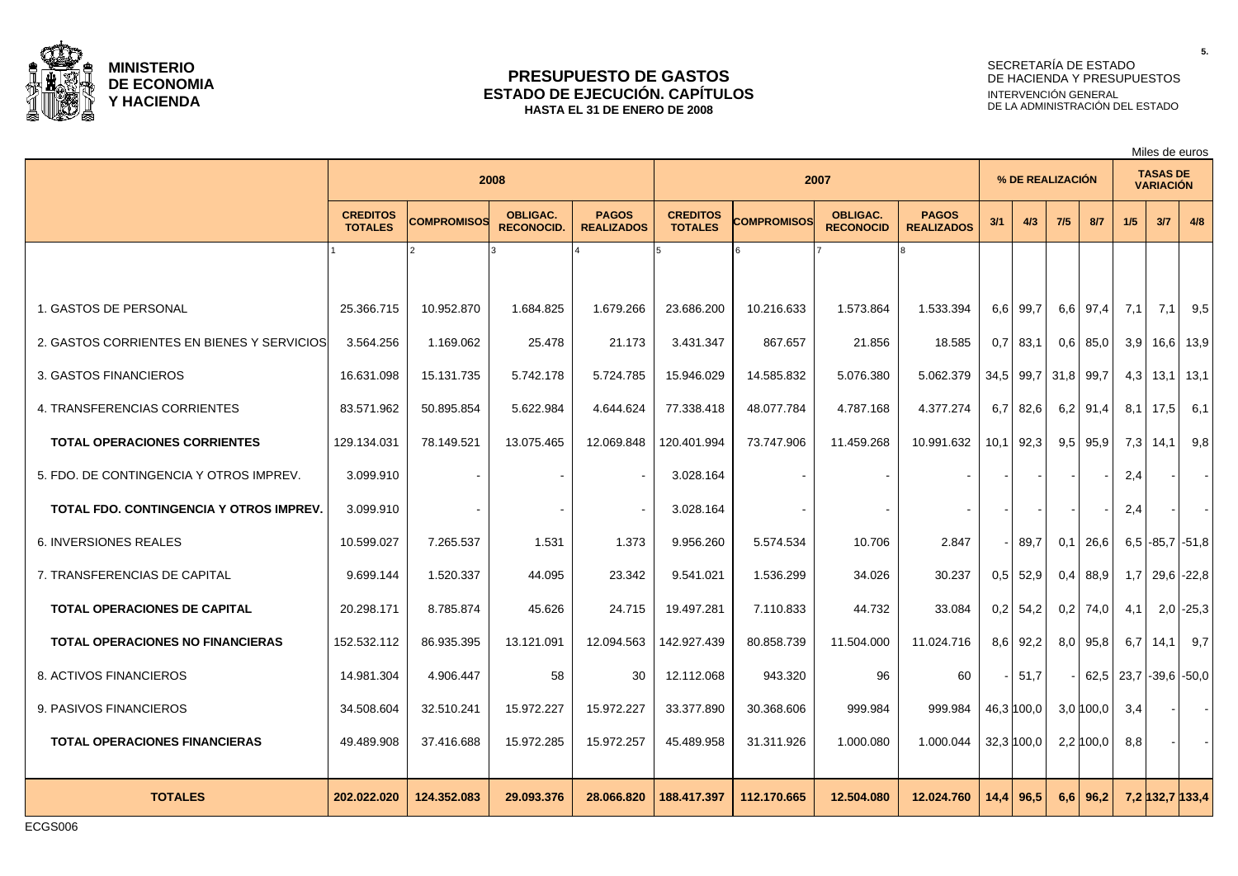

### **PRESUPUESTO DE GASTOS ESTADO DE EJECUCIÓN. CAPÍTULOS HASTA EL 31 DE ENERO DE 2008**

# SECRETARÍA DE ESTADO DE HACIENDA Y PRESUPUESTOS INTERVENCIÓN GENERAL DE LA ADMINISTRACIÓN DEL ESTADO

Miles de euros

|                                                |                                   | 2008        |                                      |                                   |                                   | 2007        |                                     |                                   |      |                | % DE REALIZACIÓN |              |      | <b>TASAS DE</b><br><b>VARIACIÓN</b> |             |
|------------------------------------------------|-----------------------------------|-------------|--------------------------------------|-----------------------------------|-----------------------------------|-------------|-------------------------------------|-----------------------------------|------|----------------|------------------|--------------|------|-------------------------------------|-------------|
|                                                | <b>CREDITOS</b><br><b>TOTALES</b> | COMPROMISOS | <b>OBLIGAC.</b><br><b>RECONOCID.</b> | <b>PAGOS</b><br><b>REALIZADOS</b> | <b>CREDITOS</b><br><b>TOTALES</b> | COMPROMISOS | <b>OBLIGAC.</b><br><b>RECONOCID</b> | <b>PAGOS</b><br><b>REALIZADOS</b> | 3/1  | 4/3            | 7/5              | 8/7          | 1/5  | 3/7                                 | 4/8         |
|                                                |                                   |             |                                      |                                   |                                   |             |                                     |                                   |      |                |                  |              |      |                                     |             |
| 1. GASTOS DE PERSONAL                          | 25.366.715                        | 10.952.870  | 1.684.825                            | 1.679.266                         | 23.686.200                        | 10.216.633  | 1.573.864                           | 1.533.394                         |      | 6.6 99.7       | 6,6              | 97,4         | 7,1  | 7,1                                 | 9,5         |
| 2. GASTOS CORRIENTES EN BIENES Y SERVICIOS     | 3.564.256                         | 1.169.062   | 25.478                               | 21.173                            | 3.431.347                         | 867.657     | 21.856                              | 18.585                            | 0,7  | 83,1           | 0,6              | 85,0         | 3,9  | $16,6$   13,9                       |             |
| 3. GASTOS FINANCIEROS                          | 16.631.098                        | 15.131.735  | 5.742.178                            | 5.724.785                         | 15.946.029                        | 14.585.832  | 5.076.380                           | 5.062.379                         |      | 34,5 99,7 31,8 |                  | 99,7         | 4,3  | $13,1$   13,1                       |             |
| 4. TRANSFERENCIAS CORRIENTES                   | 83.571.962                        | 50.895.854  | 5.622.984                            | 4.644.624                         | 77.338.418                        | 48.077.784  | 4.787.168                           | 4.377.274                         | 6,7  | 82,6           | 6,2              | 91,4         | 8,1  | 17,5                                | 6.1         |
| <b>TOTAL OPERACIONES CORRIENTES</b>            | 129.134.031                       | 78.149.521  | 13.075.465                           | 12.069.848                        | 120.401.994                       | 73.747.906  | 11.459.268                          | 10.991.632                        |      | $10,1$ 92,3    |                  | $9,5$ 95,9   | 7,3  | 14,1                                | 9,8         |
| 5. FDO. DE CONTINGENCIA Y OTROS IMPREV.        | 3.099.910                         |             |                                      |                                   | 3.028.164                         |             |                                     |                                   |      |                |                  |              | 2,4  |                                     | $\sim$      |
| <b>TOTAL FDO. CONTINGENCIA Y OTROS IMPREV.</b> | 3.099.910                         |             |                                      |                                   | 3.028.164                         |             |                                     |                                   |      |                |                  |              | 2,4  |                                     | $\sim$      |
| <b>6. INVERSIONES REALES</b>                   | 10.599.027                        | 7.265.537   | 1.531                                | 1.373                             | 9.956.260                         | 5.574.534   | 10.706                              | 2.847                             |      | 89,7           | 0,1              | 26,6         |      | $6.5$ -85,7 -51,8                   |             |
| 7. TRANSFERENCIAS DE CAPITAL                   | 9.699.144                         | 1.520.337   | 44.095                               | 23.342                            | 9.541.021                         | 1.536.299   | 34.026                              | 30.237                            |      | $0,5$ 52,9     | 0,4              | 88.9         | 1,7  | $29.6$ -22.8                        |             |
| <b>TOTAL OPERACIONES DE CAPITAL</b>            | 20.298.171                        | 8.785.874   | 45.626                               | 24.715                            | 19.497.281                        | 7.110.833   | 44.732                              | 33.084                            |      | $0.2$ 54.2     | 0,2              | 74.0         | 4.1  |                                     | $2,0$ -25,3 |
| <b>TOTAL OPERACIONES NO FINANCIERAS</b>        | 152.532.112                       | 86.935.395  | 13.121.091                           | 12.094.563                        | 142.927.439                       | 80.858.739  | 11.504.000                          | 11.024.716                        |      | $8,6$ 92,2     | 8,0              | 95,8         | 6,7  | 14,1                                | 9,7         |
| 8. ACTIVOS FINANCIEROS                         | 14.981.304                        | 4.906.447   | 58                                   | 30                                | 12.112.068                        | 943.320     | 96                                  | 60                                |      | 51,7           |                  | 62,5         | 23,7 | $-39.6$ $-50.0$                     |             |
| 9. PASIVOS FINANCIEROS                         | 34.508.604                        | 32.510.241  | 15.972.227                           | 15.972.227                        | 33.377.890                        | 30.368.606  | 999.984                             | 999.984                           |      | 46,3 100,0     |                  | $3.0\,100.0$ | 3,4  |                                     | $\sim$      |
| <b>TOTAL OPERACIONES FINANCIERAS</b>           | 49.489.908                        | 37.416.688  | 15.972.285                           | 15.972.257                        | 45.489.958                        | 31.311.926  | 1.000.080                           | 1.000.044                         |      | 32,3 100,0     |                  | $2,2$ 100,0  | 8,8  |                                     |             |
| <b>TOTALES</b>                                 | 202.022.020                       | 124.352.083 | 29.093.376                           | 28.066.820                        | 188.417.397                       | 112.170.665 | 12.504.080                          | 12.024.760                        | 14.4 | 96,5           | 6.6              | 96.2         |      | 7,2 132,7 133,4                     |             |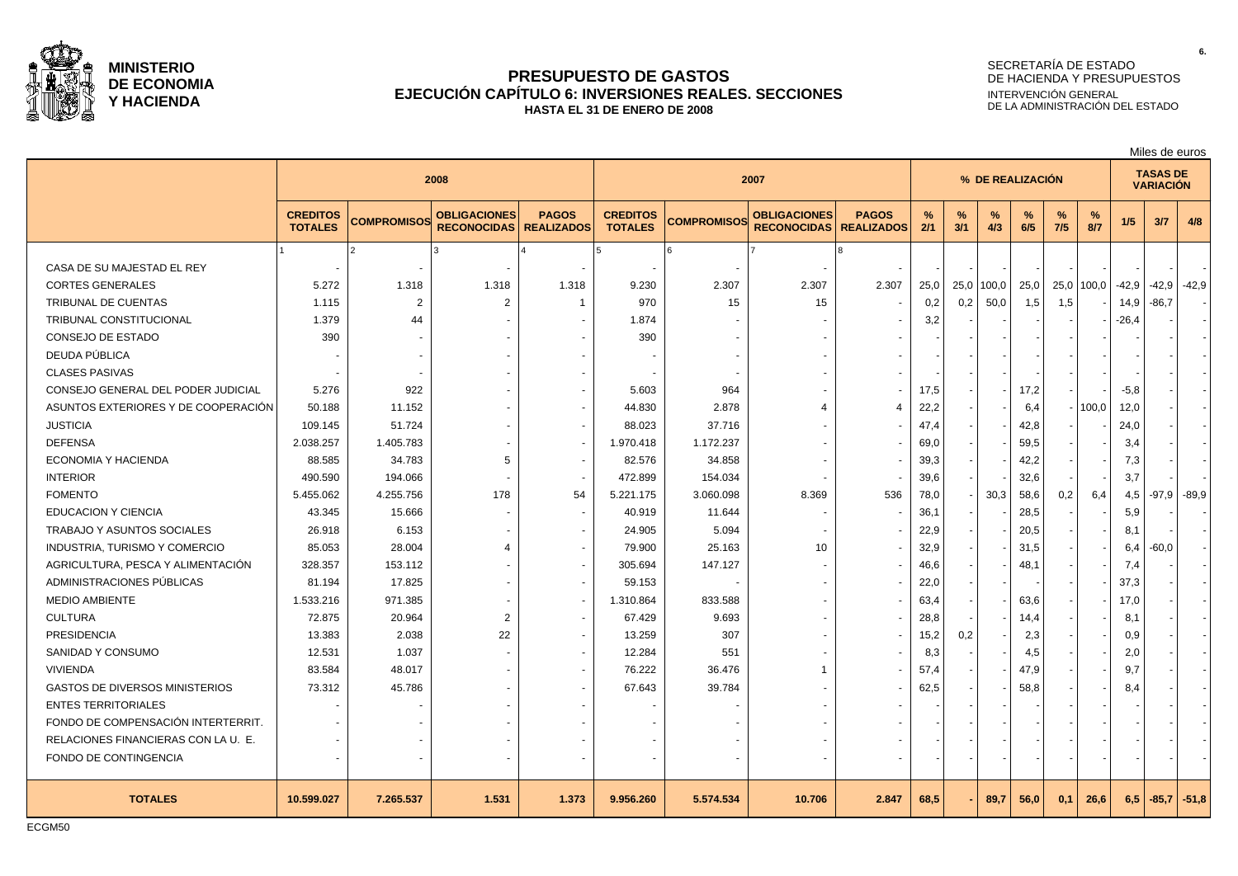

### **PRESUPUESTO DE GASTOS EJECUCIÓN CAPÍTULO 6: INVERSIONES REALES. SECCIONES HASTA EL 31 DE ENERO DE 2008**

# SECRETARÍA DE ESTADO DE HACIENDA Y PRESUPUESTOS INTERVENCIÓN GENERAL DE LA ADMINISTRACIÓN DEL ESTADO

|                                       | 2008                              |                    |                                           | 2007                              |                                   |                    |                                           | % DE REALIZACIÓN                  |          |          |          |          |                      | <b>TASAS DE</b><br><b>VARIACIÓN</b> |         |         |         |
|---------------------------------------|-----------------------------------|--------------------|-------------------------------------------|-----------------------------------|-----------------------------------|--------------------|-------------------------------------------|-----------------------------------|----------|----------|----------|----------|----------------------|-------------------------------------|---------|---------|---------|
|                                       | <b>CREDITOS</b><br><b>TOTALES</b> | <b>COMPROMISOS</b> | <b>OBLIGACIONES</b><br><b>RECONOCIDAS</b> | <b>PAGOS</b><br><b>REALIZADOS</b> | <b>CREDITOS</b><br><b>TOTALES</b> | <b>COMPROMISOS</b> | <b>OBLIGACIONES</b><br><b>RECONOCIDAS</b> | <b>PAGOS</b><br><b>REALIZADOS</b> | %<br>2/1 | %<br>3/1 | %<br>4/3 | %<br>6/5 | $\frac{9}{6}$<br>7/5 | %<br>8/7                            | 1/5     | 3/7     | 4/8     |
|                                       |                                   |                    |                                           |                                   |                                   |                    |                                           |                                   |          |          |          |          |                      |                                     |         |         |         |
| CASA DE SU MAJESTAD EL REY            |                                   |                    |                                           |                                   |                                   |                    |                                           |                                   |          |          |          |          |                      |                                     |         |         |         |
| <b>CORTES GENERALES</b>               | 5.272                             | 1.318              | 1.318                                     | 1.318                             | 9.230                             | 2.307              | 2.307                                     | 2.307                             | 25,0     | 25,0     | 100,0    | 25,0     | 25,0                 | 100,0                               | $-42.9$ | -42,9   | $-42,9$ |
| TRIBUNAL DE CUENTAS                   | 1.115                             | $\overline{2}$     | $\overline{2}$                            | $\mathbf 1$                       | 970                               | 15                 | 15                                        |                                   | 0,2      | 0,2      | 50,0     | 1,5      | 1,5                  |                                     | 14,9    | $-86,7$ |         |
| TRIBUNAL CONSTITUCIONAL               | 1.379                             | 44                 |                                           |                                   | 1.874                             |                    |                                           |                                   | 3,2      |          |          |          |                      |                                     | $-26,4$ |         |         |
| CONSEJO DE ESTADO                     | 390                               |                    |                                           |                                   | 390                               |                    |                                           |                                   |          |          |          |          |                      |                                     |         |         |         |
| DEUDA PÚBLICA                         |                                   |                    |                                           |                                   |                                   |                    |                                           |                                   |          |          |          |          |                      |                                     |         |         |         |
| <b>CLASES PASIVAS</b>                 |                                   |                    |                                           |                                   |                                   |                    |                                           |                                   |          |          |          |          |                      |                                     |         |         |         |
| CONSEJO GENERAL DEL PODER JUDICIAL    | 5.276                             | 922                |                                           |                                   | 5.603                             | 964                |                                           |                                   | 17,5     |          |          | 17,2     |                      |                                     | $-5,8$  |         |         |
| ASUNTOS EXTERIORES Y DE COOPERACIÓN   | 50.188                            | 11.152             |                                           |                                   | 44.830                            | 2.878              | Δ                                         | $\overline{4}$                    | 22,2     |          |          | 6,4      | $\sim$               | 100,0                               | 12,0    |         |         |
| <b>JUSTICIA</b>                       | 109.145                           | 51.724             |                                           |                                   | 88.023                            | 37.716             |                                           |                                   | 47,4     |          |          | 42,8     |                      |                                     | 24,0    |         |         |
| <b>DEFENSA</b>                        | 2.038.257                         | 1.405.783          |                                           | $\overline{a}$                    | 1.970.418                         | 1.172.237          |                                           |                                   | 69,0     |          |          | 59,5     |                      |                                     | 3,4     |         |         |
| ECONOMIA Y HACIENDA                   | 88.585                            | 34.783             | 5                                         | $\sim$                            | 82.576                            | 34.858             |                                           |                                   | 39,3     |          |          | 42,2     |                      |                                     | 7,3     |         |         |
| <b>INTERIOR</b>                       | 490.590                           | 194.066            |                                           |                                   | 472.899                           | 154.034            |                                           |                                   | 39,6     |          |          | 32,6     |                      |                                     | 3,7     |         |         |
| <b>FOMENTO</b>                        | 5.455.062                         | 4.255.756          | 178                                       | 54                                | 5.221.175                         | 3.060.098          | 8.369                                     | 536                               | 78,0     |          | 30,3     | 58,6     | 0,2                  | 6,4                                 | 4,5     | $-97.9$ | $-89.9$ |
| <b>EDUCACION Y CIENCIA</b>            | 43.345                            | 15.666             |                                           |                                   | 40.919                            | 11.644             |                                           |                                   | 36,1     |          |          | 28,5     |                      |                                     | 5,9     |         |         |
| TRABAJO Y ASUNTOS SOCIALES            | 26.918                            | 6.153              |                                           | $\overline{\phantom{a}}$          | 24.905                            | 5.094              |                                           |                                   | 22,9     |          |          | 20,5     |                      |                                     | 8,1     |         |         |
| INDUSTRIA, TURISMO Y COMERCIO         | 85.053                            | 28.004             | 4                                         | $\overline{a}$                    | 79.900                            | 25.163             | 10                                        |                                   | 32,9     |          |          | 31,5     |                      |                                     | 6,4     | $-60,0$ |         |
| AGRICULTURA, PESCA Y ALIMENTACIÓN     | 328.357                           | 153.112            |                                           | $\overline{a}$                    | 305.694                           | 147.127            |                                           |                                   | 46,6     |          |          | 48,1     |                      |                                     | 7,4     |         |         |
| ADMINISTRACIONES PÚBLICAS             | 81.194                            | 17.825             |                                           | $\overline{a}$                    | 59.153                            |                    |                                           |                                   | 22,0     |          |          |          |                      |                                     | 37,3    |         |         |
| <b>MEDIO AMBIENTE</b>                 | 1.533.216                         | 971.385            |                                           | $\overline{\phantom{a}}$          | 1.310.864                         | 833.588            |                                           |                                   | 63,4     |          |          | 63,6     |                      |                                     | 17,0    |         |         |
| <b>CULTURA</b>                        | 72.875                            | 20.964             | $\overline{2}$                            | $\overline{\phantom{a}}$          | 67.429                            | 9.693              |                                           |                                   | 28,8     |          |          | 14,4     |                      |                                     | 8,1     |         |         |
| PRESIDENCIA                           | 13.383                            | 2.038              | 22                                        | $\overline{a}$                    | 13.259                            | 307                |                                           |                                   | 15,2     | 0,2      |          | 2,3      |                      |                                     | 0,9     |         |         |
| SANIDAD Y CONSUMO                     | 12.531                            | 1.037              |                                           | $\blacksquare$                    | 12.284                            | 551                |                                           |                                   | 8,3      |          |          | 4,5      |                      |                                     | 2,0     |         |         |
| <b>VIVIENDA</b>                       | 83.584                            | 48.017             |                                           | $\blacksquare$                    | 76.222                            | 36.476             |                                           |                                   | 57,4     |          |          | 47,9     |                      |                                     | 9,7     |         |         |
| <b>GASTOS DE DIVERSOS MINISTERIOS</b> | 73.312                            | 45.786             |                                           |                                   | 67.643                            | 39.784             |                                           |                                   | 62,5     |          |          | 58,8     |                      |                                     | 8,4     |         |         |
| <b>ENTES TERRITORIALES</b>            |                                   |                    |                                           |                                   |                                   |                    |                                           |                                   |          |          |          |          |                      |                                     |         |         |         |
| FONDO DE COMPENSACIÓN INTERTERRIT.    |                                   |                    |                                           |                                   |                                   |                    |                                           |                                   |          |          |          |          |                      |                                     |         |         |         |
| RELACIONES FINANCIERAS CON LA U. E.   |                                   |                    |                                           |                                   |                                   |                    |                                           |                                   |          |          |          |          |                      |                                     |         |         |         |
| FONDO DE CONTINGENCIA                 |                                   |                    |                                           |                                   |                                   |                    |                                           |                                   |          |          |          |          |                      |                                     |         |         |         |
| <b>TOTALES</b>                        | 10.599.027                        | 7.265.537          | 1.531                                     | 1.373                             | 9.956.260                         | 5.574.534          | 10.706                                    | 2.847                             | 68,5     |          | 89,7     | 56,0     | 0,1                  | 26,6                                | 6,5     | $-85,7$ | $-51,8$ |

Miles de euros

ECGM50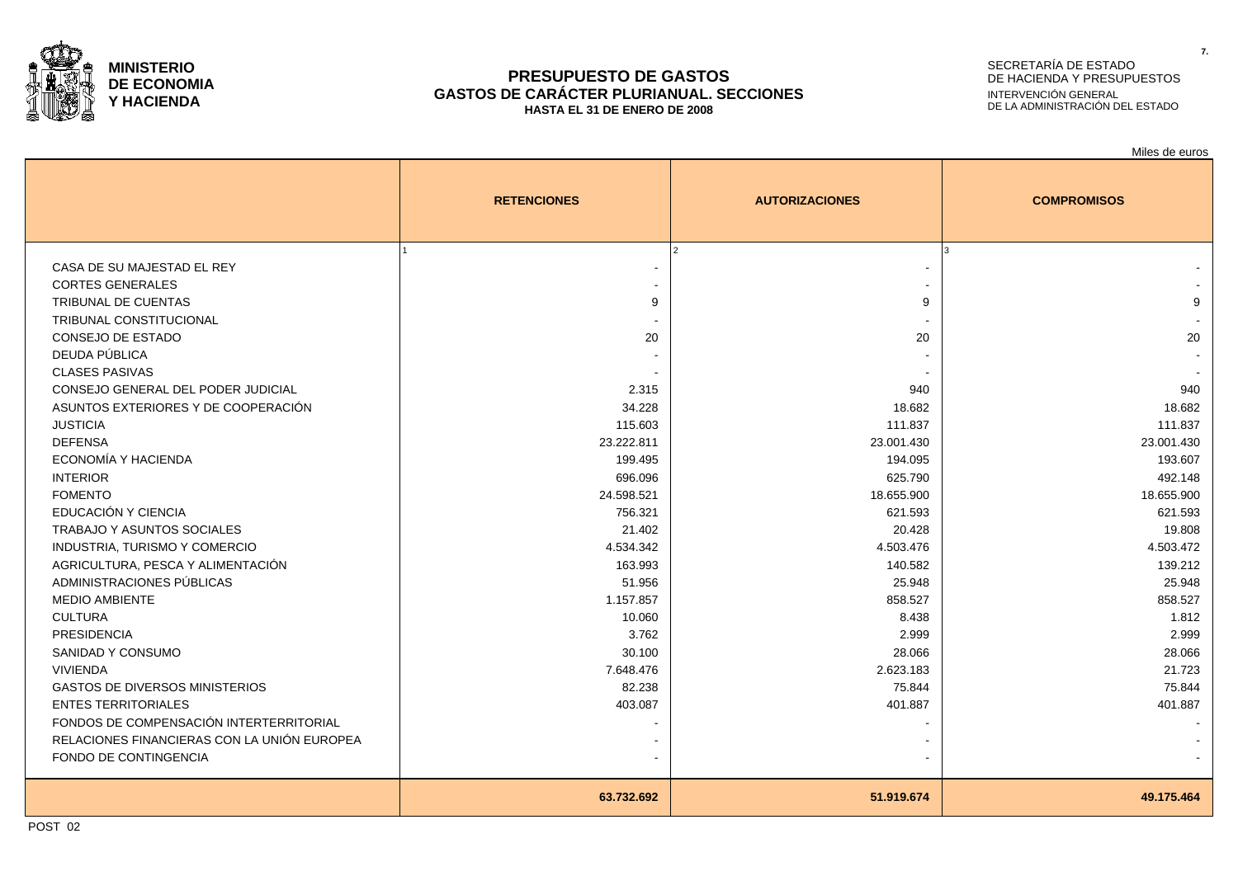

### **PRESUPUESTO DE GASTOS GASTOS DE CARÁCTER PLURIANUAL. SECCIONES HASTA EL 31 DE ENERO DE 2008**

# SECRETARÍA DE ESTADO DE HACIENDA Y PRESUPUESTOS INTERVENCIÓN GENERAL DE LA ADMINISTRACIÓN DEL ESTADO

|                                                                                                                                                                                                                                                                                                                                                                                                                                                                                                                                                                                                                                                                       | <b>RETENCIONES</b>                                                                                                                                                                                              | <b>AUTORIZACIONES</b>                                                                                                                                                                                      | <b>COMPROMISOS</b>                                                                                                                                                                                      |
|-----------------------------------------------------------------------------------------------------------------------------------------------------------------------------------------------------------------------------------------------------------------------------------------------------------------------------------------------------------------------------------------------------------------------------------------------------------------------------------------------------------------------------------------------------------------------------------------------------------------------------------------------------------------------|-----------------------------------------------------------------------------------------------------------------------------------------------------------------------------------------------------------------|------------------------------------------------------------------------------------------------------------------------------------------------------------------------------------------------------------|---------------------------------------------------------------------------------------------------------------------------------------------------------------------------------------------------------|
| CASA DE SU MAJESTAD EL REY<br><b>CORTES GENERALES</b><br>TRIBUNAL DE CUENTAS<br>TRIBUNAL CONSTITUCIONAL<br>CONSEJO DE ESTADO<br>DEUDA PÚBLICA<br><b>CLASES PASIVAS</b><br>CONSEJO GENERAL DEL PODER JUDICIAL<br>ASUNTOS EXTERIORES Y DE COOPERACIÓN<br><b>JUSTICIA</b><br><b>DEFENSA</b><br>ECONOMÍA Y HACIENDA<br><b>INTERIOR</b><br><b>FOMENTO</b><br>EDUCACIÓN Y CIENCIA<br><b>TRABAJO Y ASUNTOS SOCIALES</b><br>INDUSTRIA, TURISMO Y COMERCIO<br>AGRICULTURA, PESCA Y ALIMENTACIÓN<br>ADMINISTRACIONES PÚBLICAS<br><b>MEDIO AMBIENTE</b><br><b>CULTURA</b><br><b>PRESIDENCIA</b><br>SANIDAD Y CONSUMO<br><b>VIVIENDA</b><br><b>GASTOS DE DIVERSOS MINISTERIOS</b> | 9<br>20<br>2.315<br>34.228<br>115.603<br>23.222.811<br>199.495<br>696.096<br>24.598.521<br>756.321<br>21.402<br>4.534.342<br>163.993<br>51.956<br>1.157.857<br>10.060<br>3.762<br>30.100<br>7.648.476<br>82.238 | 9<br>20<br>940<br>18.682<br>111.837<br>23.001.430<br>194.095<br>625.790<br>18.655.900<br>621.593<br>20.428<br>4.503.476<br>140.582<br>25.948<br>858.527<br>8.438<br>2.999<br>28.066<br>2.623.183<br>75.844 | 9<br>20<br>940<br>18.682<br>111.837<br>23.001.430<br>193.607<br>492.148<br>18.655.900<br>621.593<br>19.808<br>4.503.472<br>139.212<br>25.948<br>858.527<br>1.812<br>2.999<br>28.066<br>21.723<br>75.844 |
| <b>ENTES TERRITORIALES</b><br>FONDOS DE COMPENSACIÓN INTERTERRITORIAL<br>RELACIONES FINANCIERAS CON LA UNIÓN EUROPEA<br>FONDO DE CONTINGENCIA                                                                                                                                                                                                                                                                                                                                                                                                                                                                                                                         | 403.087                                                                                                                                                                                                         | 401.887                                                                                                                                                                                                    | 401.887                                                                                                                                                                                                 |
|                                                                                                                                                                                                                                                                                                                                                                                                                                                                                                                                                                                                                                                                       | 63.732.692                                                                                                                                                                                                      | 51.919.674                                                                                                                                                                                                 | 49.175.464                                                                                                                                                                                              |

**7.**

Miles de euros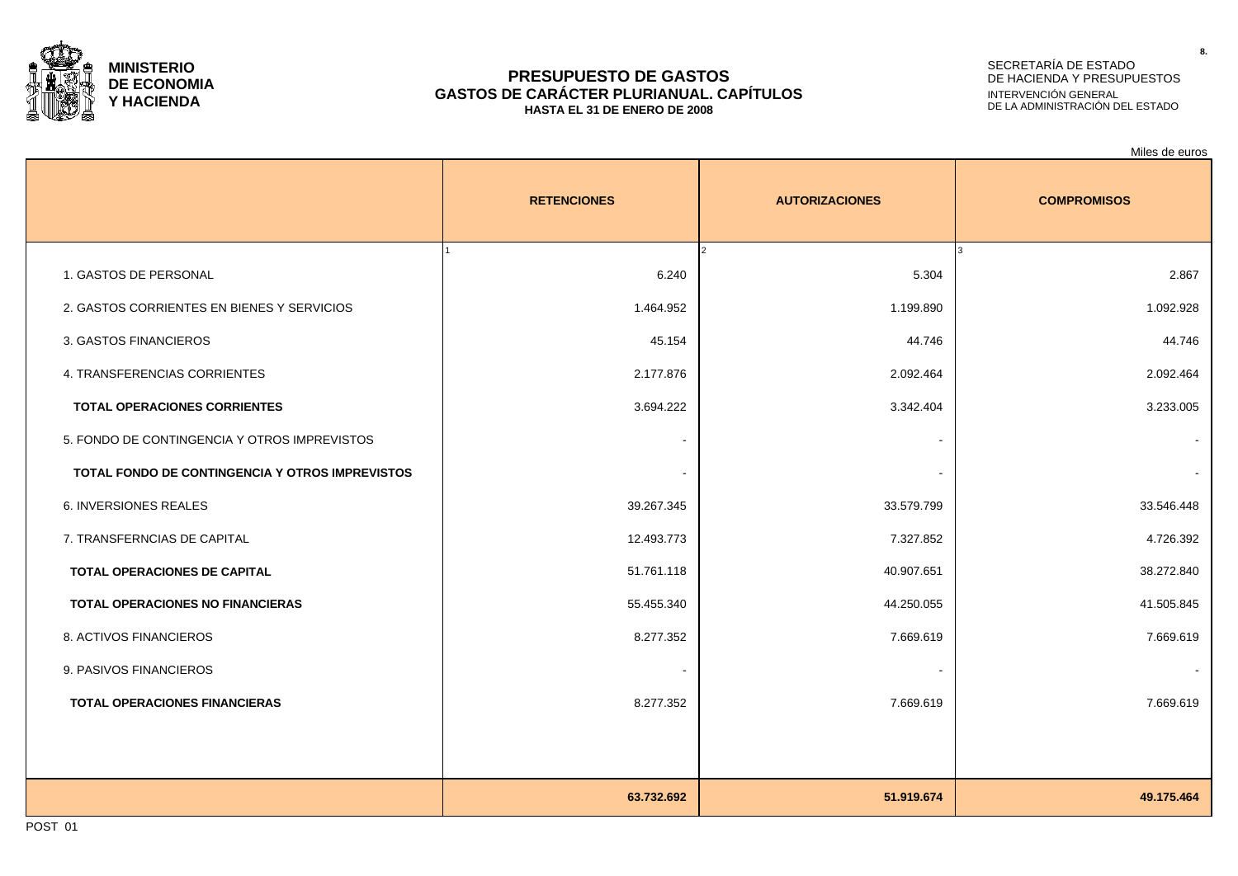

### **PRESUPUESTO DE GASTOS GASTOS DE CARÁCTER PLURIANUAL. CAPÍTULOS HASTA EL 31 DE ENERO DE 2008**

# SECRETARÍA DE ESTADO DE HACIENDA Y PRESUPUESTOS INTERVENCIÓN GENERAL DE LA ADMINISTRACIÓN DEL ESTADO

|                                                 |                    |                       | Miles de euros     |
|-------------------------------------------------|--------------------|-----------------------|--------------------|
|                                                 | <b>RETENCIONES</b> | <b>AUTORIZACIONES</b> | <b>COMPROMISOS</b> |
|                                                 |                    |                       |                    |
| 1. GASTOS DE PERSONAL                           | 6.240              | 5.304                 | 2.867              |
| 2. GASTOS CORRIENTES EN BIENES Y SERVICIOS      | 1.464.952          | 1.199.890             | 1.092.928          |
| 3. GASTOS FINANCIEROS                           | 45.154             | 44.746                | 44.746             |
| 4. TRANSFERENCIAS CORRIENTES                    | 2.177.876          | 2.092.464             | 2.092.464          |
| <b>TOTAL OPERACIONES CORRIENTES</b>             | 3.694.222          | 3.342.404             | 3.233.005          |
| 5. FONDO DE CONTINGENCIA Y OTROS IMPREVISTOS    | $\blacksquare$     |                       |                    |
| TOTAL FONDO DE CONTINGENCIA Y OTROS IMPREVISTOS | $\sim$             |                       |                    |
| <b>6. INVERSIONES REALES</b>                    | 39.267.345         | 33.579.799            | 33.546.448         |
| 7. TRANSFERNCIAS DE CAPITAL                     | 12.493.773         | 7.327.852             | 4.726.392          |
| TOTAL OPERACIONES DE CAPITAL                    | 51.761.118         | 40.907.651            | 38.272.840         |
| <b>TOTAL OPERACIONES NO FINANCIERAS</b>         | 55.455.340         | 44.250.055            | 41.505.845         |
| 8. ACTIVOS FINANCIEROS                          | 8.277.352          | 7.669.619             | 7.669.619          |
| 9. PASIVOS FINANCIEROS                          | $\blacksquare$     |                       |                    |
| <b>TOTAL OPERACIONES FINANCIERAS</b>            | 8.277.352          | 7.669.619             | 7.669.619          |
|                                                 |                    |                       |                    |
|                                                 |                    |                       |                    |
|                                                 | 63.732.692         | 51.919.674            | 49.175.464         |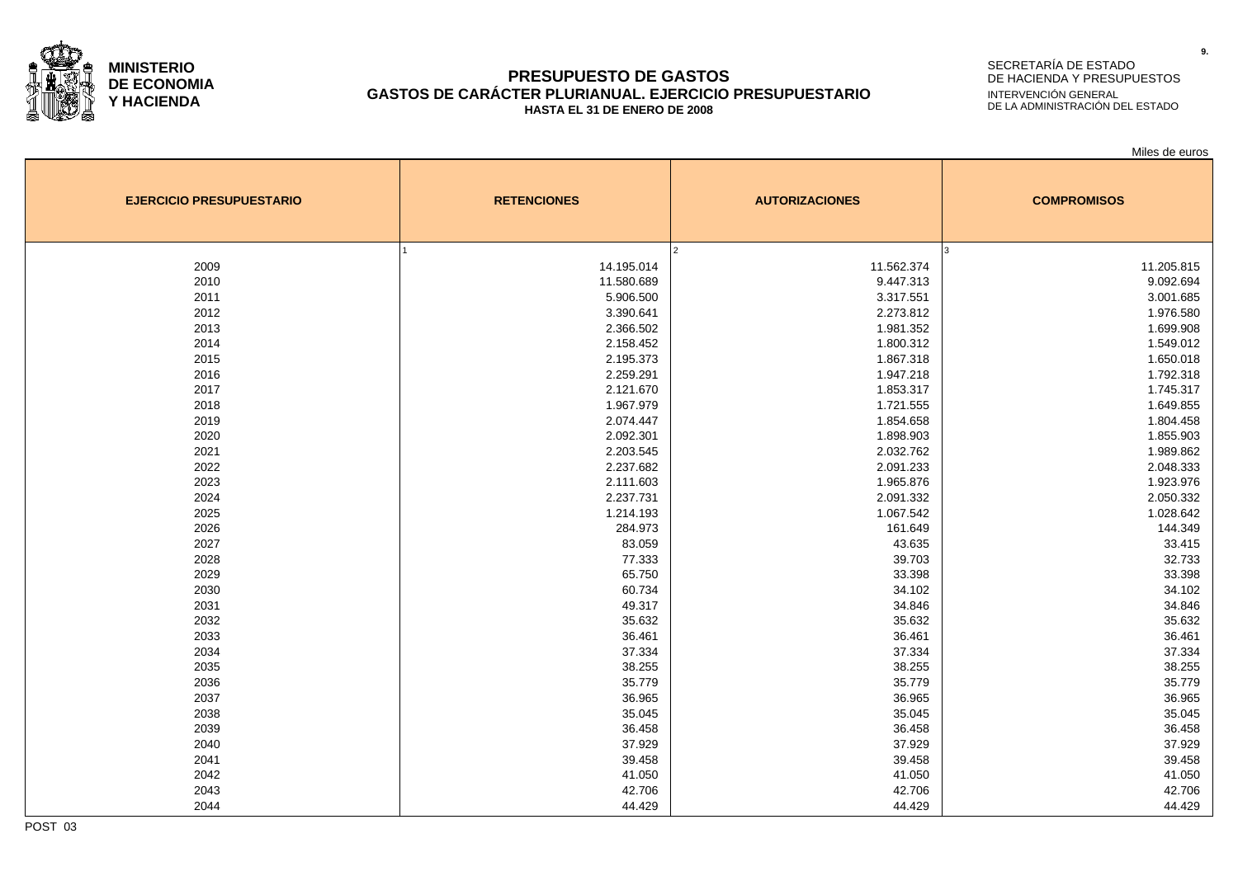

### **PRESUPUESTO DE GASTOS GASTOS DE CARÁCTER PLURIANUAL. EJERCICIO PRESUPUESTARIO HASTA EL 31 DE ENERO DE 2008**

# SECRETARÍA DE ESTADO DE HACIENDA Y PRESUPUESTOS INTERVENCIÓN GENERAL DE LA ADMINISTRACIÓN DEL ESTADO

Miles de euros

| <b>EJERCICIO PRESUPUESTARIO</b> | <b>RETENCIONES</b> | <b>AUTORIZACIONES</b> | <b>COMPROMISOS</b> |  |  |
|---------------------------------|--------------------|-----------------------|--------------------|--|--|
|                                 |                    | $\overline{2}$        |                    |  |  |
| 2009                            | 14.195.014         | 11.562.374            | 11.205.815         |  |  |
| 2010                            | 11.580.689         | 9.447.313             | 9.092.694          |  |  |
| 2011                            | 5.906.500          | 3.317.551             | 3.001.685          |  |  |
| 2012                            | 3.390.641          | 2.273.812             | 1.976.580          |  |  |
| 2013                            | 2.366.502          | 1.981.352             | 1.699.908          |  |  |
| 2014                            | 2.158.452          | 1.800.312             | 1.549.012          |  |  |
| 2015                            | 2.195.373          | 1.867.318             | 1.650.018          |  |  |
| 2016                            | 2.259.291          | 1.947.218             | 1.792.318          |  |  |
| 2017                            | 2.121.670          | 1.853.317             | 1.745.317          |  |  |
| 2018                            | 1.967.979          | 1.721.555             | 1.649.855          |  |  |
| 2019                            | 2.074.447          | 1.854.658             | 1.804.458          |  |  |
| 2020                            | 2.092.301          | 1.898.903             | 1.855.903          |  |  |
| 2021                            | 2.203.545          | 2.032.762             | 1.989.862          |  |  |
| 2022                            | 2.237.682          | 2.091.233             | 2.048.333          |  |  |
| 2023                            | 2.111.603          | 1.965.876             | 1.923.976          |  |  |
| 2024                            | 2.237.731          | 2.091.332             | 2.050.332          |  |  |
| 2025                            | 1.214.193          | 1.067.542             | 1.028.642          |  |  |
| 2026                            | 284.973            | 161.649               | 144.349            |  |  |
| 2027                            | 83.059             | 43.635                | 33.415             |  |  |
| 2028                            | 77.333             | 39.703                | 32.733             |  |  |
| 2029                            | 65.750             | 33.398                | 33.398             |  |  |
| 2030                            | 60.734             | 34.102                | 34.102             |  |  |
| 2031                            | 49.317             | 34.846                | 34.846             |  |  |
| 2032                            | 35.632             | 35.632                | 35.632             |  |  |
| 2033                            | 36.461             | 36.461                | 36.461             |  |  |
| 2034                            | 37.334             | 37.334                | 37.334             |  |  |
| 2035                            | 38.255             | 38.255                | 38.255             |  |  |
| 2036                            | 35.779             | 35.779                | 35.779             |  |  |
| 2037                            | 36.965             | 36.965                | 36.965             |  |  |
| 2038                            | 35.045             | 35.045                | 35.045             |  |  |
| 2039                            | 36.458             | 36.458                | 36.458             |  |  |
| 2040                            | 37.929             | 37.929                | 37.929             |  |  |
| 2041                            | 39.458             | 39.458                | 39.458             |  |  |
| 2042                            | 41.050             | 41.050                | 41.050             |  |  |
| 2043                            | 42.706             | 42.706                | 42.706             |  |  |
| 2044                            | 44.429             | 44.429                | 44.429             |  |  |